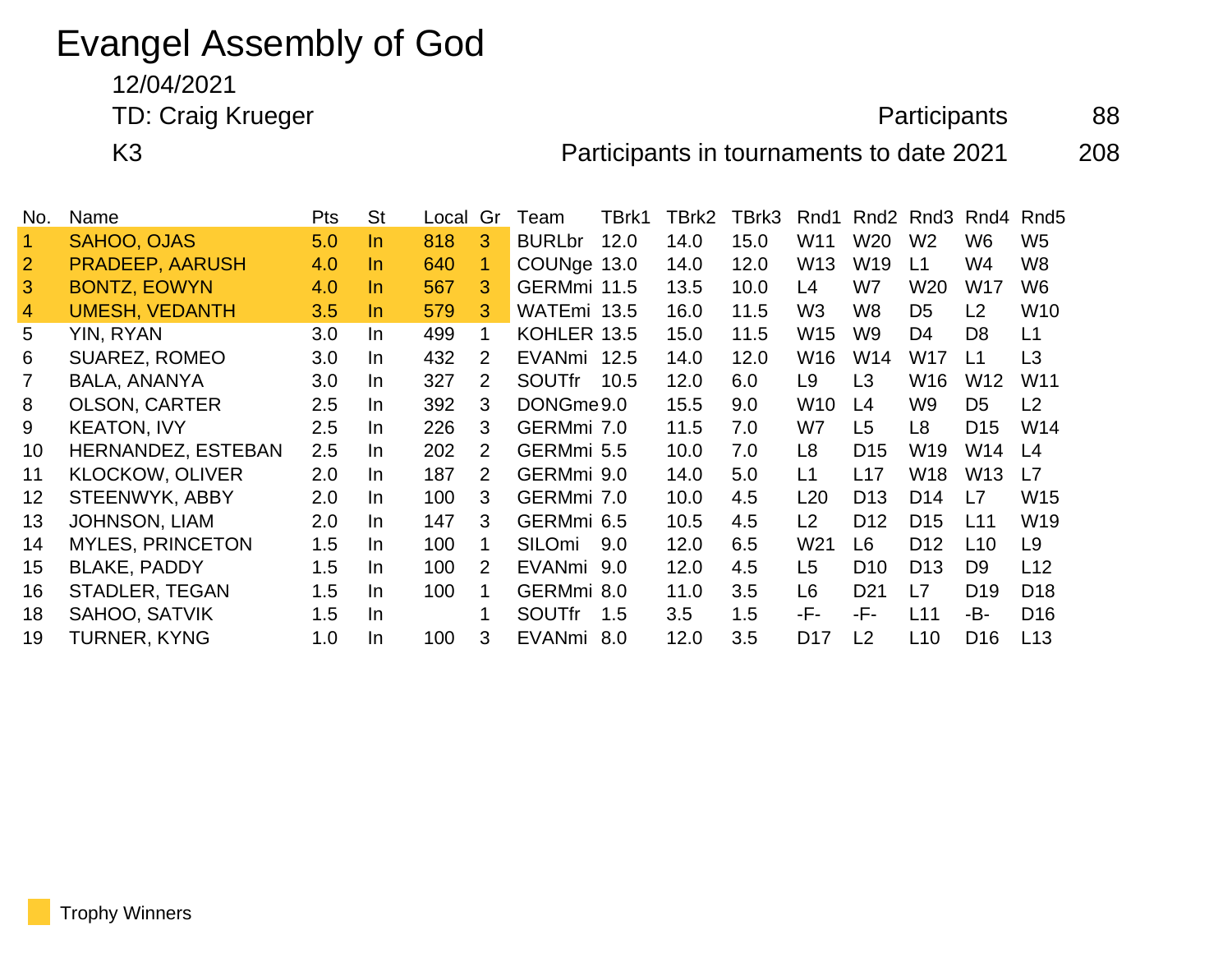# Evangel Assembly of God

12/04/2021

TD: Craig Krueger **Participants** 88

K3 Participants in tournaments to date 2021 208

| No.            | Name                      | <b>Pts</b> | <b>St</b> | Local | Gr             | Team          | TBrk1 | TBrk2 | TBrk3 | Rnd1            |                 | Rnd <sub>2</sub> Rnd <sub>3</sub> | Rnd4            | Rnd <sub>5</sub> |
|----------------|---------------------------|------------|-----------|-------|----------------|---------------|-------|-------|-------|-----------------|-----------------|-----------------------------------|-----------------|------------------|
|                | SAHOO, OJAS               | 5.0        | In.       | 818   | 3              | <b>BURLbr</b> | 12.0  | 14.0  | 15.0  | W <sub>11</sub> | W20             | W <sub>2</sub>                    | W <sub>6</sub>  | W <sub>5</sub>   |
| $\overline{2}$ | <b>PRADEEP, AARUSH</b>    | 4.0        | In.       | 640   | 1.             | COUNge 13.0   |       | 14.0  | 12.0  | W <sub>13</sub> | W <sub>19</sub> | L1                                | W4              | W <sub>8</sub>   |
| 3              | <b>BONTZ, EOWYN</b>       | 4.0        | In.       | 567   | 3              | GERMmi 11.5   |       | 13.5  | 10.0  | L4              | W7              | W <sub>20</sub>                   | W <sub>17</sub> | W <sub>6</sub>   |
| 4              | <b>UMESH, VEDANTH</b>     | 3.5        | In.       | 579   | 3              | WATEmi 13.5   |       | 16.0  | 11.5  | W3              | W <sub>8</sub>  | D <sub>5</sub>                    | L2              | W <sub>10</sub>  |
| 5              | YIN, RYAN                 | 3.0        | In.       | 499   | 1.             | KOHLER 13.5   |       | 15.0  | 11.5  | W15             | W <sub>9</sub>  | D <sub>4</sub>                    | D <sub>8</sub>  | L1               |
| 6              | <b>SUAREZ, ROMEO</b>      | 3.0        | In.       | 432   | 2              | EVANmi 12.5   |       | 14.0  | 12.0  | W16             | W <sub>14</sub> | W17                               | L1              | L3               |
|                | BALA, ANANYA              | 3.0        | In.       | 327   | $\overline{2}$ | <b>SOUTfr</b> | 10.5  | 12.0  | 6.0   | L9              | L3              | W <sub>16</sub>                   | W <sub>12</sub> | W11              |
| 8              | <b>OLSON, CARTER</b>      | 2.5        | In.       | 392   | 3              | DONGme9.0     |       | 15.5  | 9.0   | W <sub>10</sub> | L4              | W <sub>9</sub>                    | D <sub>5</sub>  | L <sub>2</sub>   |
| 9              | <b>KEATON, IVY</b>        | 2.5        | In.       | 226   | 3              | GERMmi 7.0    |       | 11.5  | 7.0   | W7              | L <sub>5</sub>  | L8                                | D <sub>15</sub> | W14              |
| 10             | <b>HERNANDEZ, ESTEBAN</b> | 2.5        | In.       | 202   | 2              | GERMmi 5.5    |       | 10.0  | 7.0   | L8              | D <sub>15</sub> | W19                               | W14             | L4               |
| 11             | <b>KLOCKOW, OLIVER</b>    | 2.0        | In.       | 187   | 2              | GERMmi 9.0    |       | 14.0  | 5.0   | L1              | L17             | W <sub>18</sub>                   | W <sub>13</sub> | L7               |
| 12             | <b>STEENWYK, ABBY</b>     | 2.0        | In.       | 100   | 3              | GERMmi 7.0    |       | 10.0  | 4.5   | L <sub>20</sub> | D <sub>13</sub> | D <sub>14</sub>                   | L7              | W15              |
| 13             | <b>JOHNSON, LIAM</b>      | 2.0        | In.       | 147   | 3              | GERMmi 6.5    |       | 10.5  | 4.5   | L2              | D <sub>12</sub> | D <sub>15</sub>                   | L11             | W19              |
| 14             | <b>MYLES, PRINCETON</b>   | 1.5        | In.       | 100   | 1              | SILOmi        | 9.0   | 12.0  | 6.5   | W <sub>21</sub> | L <sub>6</sub>  | D <sub>12</sub>                   | L <sub>10</sub> | L9               |
| 15             | <b>BLAKE, PADDY</b>       | 1.5        | In.       | 100   | 2              | EVANmi 9.0    |       | 12.0  | 4.5   | L <sub>5</sub>  | D <sub>10</sub> | D <sub>13</sub>                   | D <sub>9</sub>  | L12              |
| 16             | <b>STADLER, TEGAN</b>     | 1.5        | In.       | 100   | 1              | GERMmi 8.0    |       | 11.0  | 3.5   | L6              | D <sub>21</sub> | L7                                | D <sub>19</sub> | D <sub>18</sub>  |
| 18             | SAHOO, SATVIK             | 1.5        | In.       |       |                | <b>SOUTfr</b> | 1.5   | 3.5   | 1.5   | -F-             | -F-             | L11                               | -B-             | D <sub>16</sub>  |
| 19             | <b>TURNER, KYNG</b>       | 1.0        | In.       | 100   | 3              | EVANmi        | 8.0   | 12.0  | 3.5   | D <sub>17</sub> | L <sub>2</sub>  | L10                               | D <sub>16</sub> | L13              |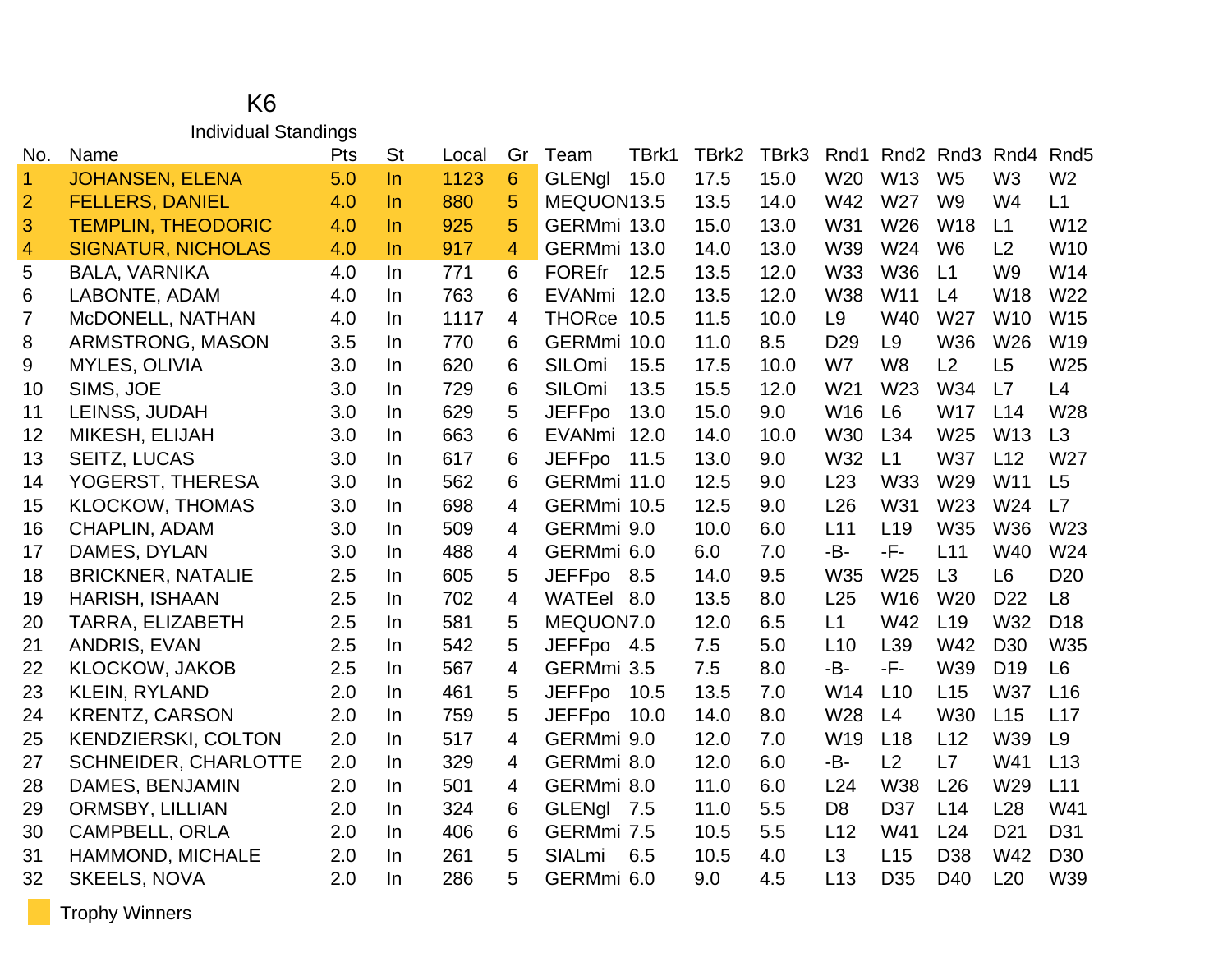#### K6 Individual Standings

| No.                     | Name                        | Pts | <b>St</b> | Local | Gr             | Team          | TBrk1 | TBrk2 | TBrk3 | Rnd1            |                 | Rnd <sub>2</sub> Rnd <sub>3</sub> | Rnd4            | Rnd <sub>5</sub> |
|-------------------------|-----------------------------|-----|-----------|-------|----------------|---------------|-------|-------|-------|-----------------|-----------------|-----------------------------------|-----------------|------------------|
| $\mathbf{1}$            | <b>JOHANSEN, ELENA</b>      | 5.0 | $\ln$     | 1123  | 6              | <b>GLENal</b> | 15.0  | 17.5  | 15.0  | W <sub>20</sub> | W <sub>13</sub> | W <sub>5</sub>                    | W <sub>3</sub>  | W <sub>2</sub>   |
| $\overline{2}$          | <b>FELLERS, DANIEL</b>      | 4.0 | In        | 880   | 5              | MEQUON13.5    |       | 13.5  | 14.0  | W42             | W27             | W <sub>9</sub>                    | W4              | L1               |
| 3                       | <b>TEMPLIN, THEODORIC</b>   | 4.0 | $\ln$     | 925   | 5              | GERMmi 13.0   |       | 15.0  | 13.0  | W31             | W26             | <b>W18</b>                        | L1              | W12              |
| $\overline{\mathbf{4}}$ | <b>SIGNATUR, NICHOLAS</b>   | 4.0 | $\ln$     | 917   | 4              | GERMmi 13.0   |       | 14.0  | 13.0  | W39             | W24             | W <sub>6</sub>                    | L2              | W10              |
| 5                       | <b>BALA, VARNIKA</b>        | 4.0 | In        | 771   | 6              | <b>FOREfr</b> | 12.5  | 13.5  | 12.0  | W33             | <b>W36</b>      | L1                                | W <sub>9</sub>  | W14              |
| 6                       | LABONTE, ADAM               | 4.0 | In        | 763   | 6              | EVANmi        | 12.0  | 13.5  | 12.0  | <b>W38</b>      | W11             | L4                                | W18             | W22              |
| 7                       | McDONELL, NATHAN            | 4.0 | In        | 1117  | $\overline{4}$ | THORce 10.5   |       | 11.5  | 10.0  | L <sub>9</sub>  | W40             | W27                               | W <sub>10</sub> | W15              |
| 8                       | ARMSTRONG, MASON            | 3.5 | In        | 770   | 6              | GERMmi 10.0   |       | 11.0  | 8.5   | D <sub>29</sub> | L <sub>9</sub>  | <b>W36</b>                        | W26             | W19              |
| 9                       | <b>MYLES, OLIVIA</b>        | 3.0 | In        | 620   | 6              | SILOmi        | 15.5  | 17.5  | 10.0  | W7              | W <sub>8</sub>  | L2                                | L5              | W25              |
| 10                      | SIMS, JOE                   | 3.0 | In        | 729   | 6              | SILOmi        | 13.5  | 15.5  | 12.0  | W21             | W23             | W34                               | L7              | L4               |
| 11                      | LEINSS, JUDAH               | 3.0 | In.       | 629   | 5              | <b>JEFFpo</b> | 13.0  | 15.0  | 9.0   | W16             | L6              | W17                               | L14             | W28              |
| 12                      | MIKESH, ELIJAH              | 3.0 | In        | 663   | 6              | <b>EVANmi</b> | 12.0  | 14.0  | 10.0  | <b>W30</b>      | L34             | W25                               | W <sub>13</sub> | L3               |
| 13                      | <b>SEITZ, LUCAS</b>         | 3.0 | In        | 617   | 6              | <b>JEFFpo</b> | 11.5  | 13.0  | 9.0   | W32             | L1              | W37                               | L12             | W27              |
| 14                      | YOGERST, THERESA            | 3.0 | In        | 562   | 6              | GERMmi 11.0   |       | 12.5  | 9.0   | L23             | <b>W33</b>      | W29                               | W11             | L5               |
| 15                      | <b>KLOCKOW, THOMAS</b>      | 3.0 | In        | 698   | 4              | GERMmi 10.5   |       | 12.5  | 9.0   | L26             | W31             | W23                               | W24             | L7               |
| 16                      | <b>CHAPLIN, ADAM</b>        | 3.0 | In        | 509   | 4              | GERMmi 9.0    |       | 10.0  | 6.0   | L11             | L <sub>19</sub> | W35                               | W36             | W23              |
| 17                      | DAMES, DYLAN                | 3.0 | In        | 488   | 4              | GERMmi 6.0    |       | 6.0   | 7.0   | -B-             | -F-             | L11                               | W40             | W24              |
| 18                      | <b>BRICKNER, NATALIE</b>    | 2.5 | In        | 605   | 5              | <b>JEFFpo</b> | 8.5   | 14.0  | 9.5   | W35             | W <sub>25</sub> | L3                                | L <sub>6</sub>  | D <sub>20</sub>  |
| 19                      | <b>HARISH, ISHAAN</b>       | 2.5 | In        | 702   | 4              | WATEel 8.0    |       | 13.5  | 8.0   | L25             | W <sub>16</sub> | W <sub>20</sub>                   | D <sub>22</sub> | L <sub>8</sub>   |
| 20                      | TARRA, ELIZABETH            | 2.5 | In        | 581   | 5              | MEQUON7.0     |       | 12.0  | 6.5   | L1              | W42             | L <sub>19</sub>                   | W32             | D <sub>18</sub>  |
| 21                      | ANDRIS, EVAN                | 2.5 | In        | 542   | 5              | JEFFpo        | 4.5   | 7.5   | 5.0   | L10             | L39             | W42                               | D <sub>30</sub> | W35              |
| 22                      | <b>KLOCKOW, JAKOB</b>       | 2.5 | In        | 567   | 4              | GERMmi 3.5    |       | 7.5   | 8.0   | -B-             | -F-             | W39                               | D <sub>19</sub> | L <sub>6</sub>   |
| 23                      | <b>KLEIN, RYLAND</b>        | 2.0 | In        | 461   | 5              | <b>JEFFpo</b> | 10.5  | 13.5  | 7.0   | W14             | L10             | L15                               | <b>W37</b>      | L16              |
| 24                      | <b>KRENTZ, CARSON</b>       | 2.0 | In        | 759   | 5              | <b>JEFFpo</b> | 10.0  | 14.0  | 8.0   | W28             | L4              | W30                               | L15             | L17              |
| 25                      | <b>KENDZIERSKI, COLTON</b>  | 2.0 | In        | 517   | 4              | GERMmi 9.0    |       | 12.0  | 7.0   | W19             | L18             | L12                               | W39             | L <sub>9</sub>   |
| 27                      | <b>SCHNEIDER, CHARLOTTE</b> | 2.0 | In        | 329   | 4              | GERMmi 8.0    |       | 12.0  | 6.0   | -B-             | L2              | L7                                | W41             | L13              |
| 28                      | DAMES, BENJAMIN             | 2.0 | In        | 501   | 4              | GERMmi 8.0    |       | 11.0  | 6.0   | L24             | <b>W38</b>      | L26                               | W29             | L11              |
| 29                      | ORMSBY, LILLIAN             | 2.0 | In        | 324   | 6              | <b>GLENgl</b> | 7.5   | 11.0  | 5.5   | D <sub>8</sub>  | D37             | L14                               | L <sub>28</sub> | W41              |
| 30                      | <b>CAMPBELL, ORLA</b>       | 2.0 | In        | 406   | 6              | GERMmi 7.5    |       | 10.5  | 5.5   | L12             | W41             | L24                               | D <sub>21</sub> | D31              |
| 31                      | HAMMOND, MICHALE            | 2.0 | In        | 261   | 5              | <b>SIALmi</b> | 6.5   | 10.5  | 4.0   | L <sub>3</sub>  | L15             | D38                               | W42             | D30              |
| 32                      | <b>SKEELS, NOVA</b>         | 2.0 | In        | 286   | 5              | GERMmi 6.0    |       | 9.0   | 4.5   | L13             | D <sub>35</sub> | D40                               | L20             | W39              |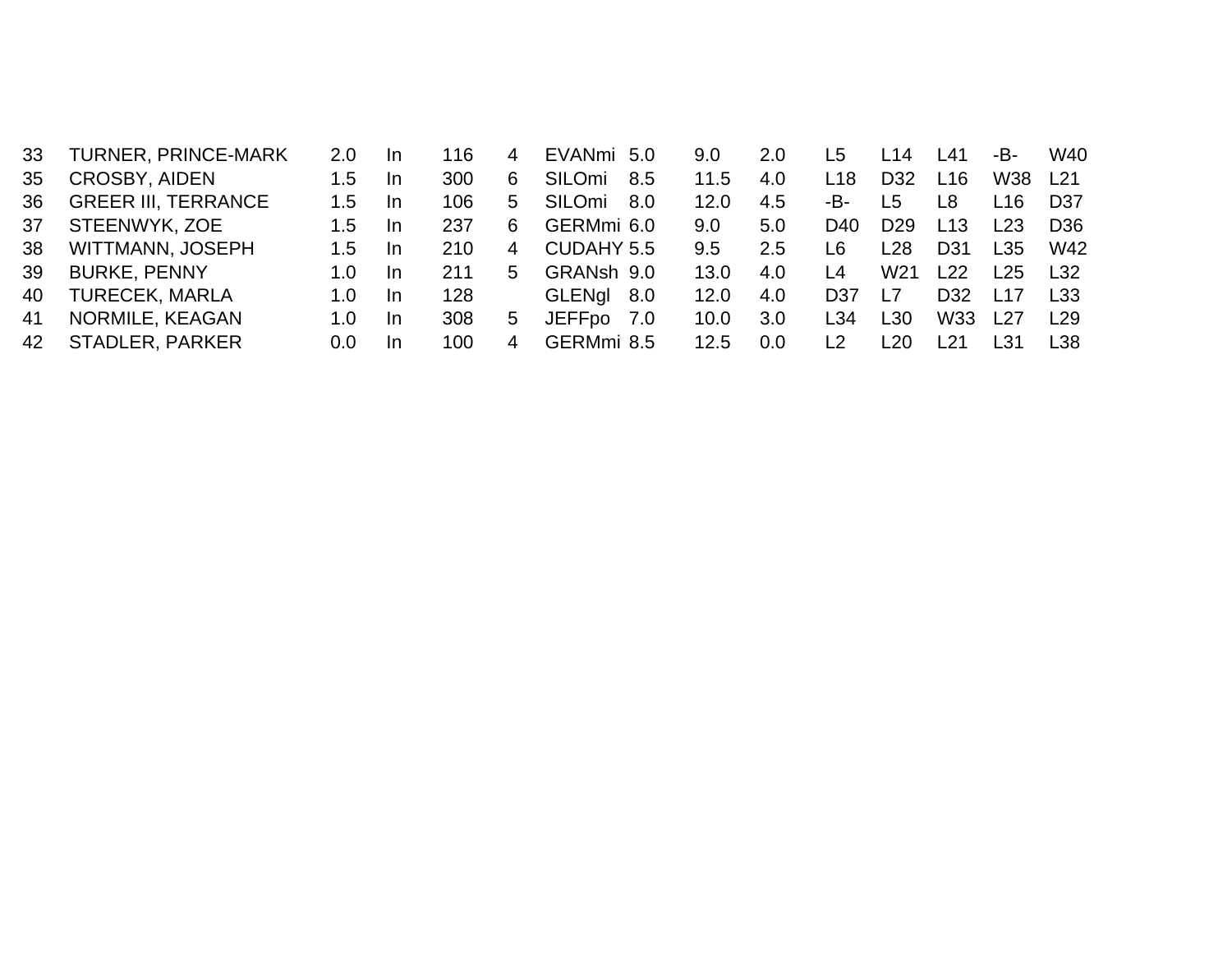| 33 | <b>TURNER, PRINCE-MARK</b> | 2.0         | -In | 116 | 4 | EVANmi 5.0    |      | 9.0           | 2.0 | L5  | L <sub>14</sub> | L41             | -B-        | W40             |
|----|----------------------------|-------------|-----|-----|---|---------------|------|---------------|-----|-----|-----------------|-----------------|------------|-----------------|
| 35 | <b>CROSBY, AIDEN</b>       | 1.5         | -In | 300 | 6 | SILOmi        | 8.5  | 11.5          | 4.0 | L18 | D <sub>32</sub> | L16             | W38        | L21             |
| 36 | <b>GREER III, TERRANCE</b> | 1.5         | -In | 106 | 5 | <b>SILOmi</b> | -8.O | 12.0          | 4.5 | -В- | L5              | 18              | <u> 16</u> | D37             |
| 37 | STEENWYK, ZOE              | 1.5         | -In | 237 | 6 | GERMmi 6.0    |      | 9.0           | 5.0 | D40 | D <sub>29</sub> | L13             | l 23       | D <sub>36</sub> |
| 38 | WITTMANN, JOSEPH           | $1.5\,$     | -In | 210 | 4 | CUDAHY 5.5    |      | $9.5^{\circ}$ | 2.5 | L6  | L <sub>28</sub> | D <sub>31</sub> | L35        | W42             |
| 39 | <b>BURKE, PENNY</b>        | 1. $\Omega$ | -In | 211 | 5 | GRANsh 9.0    |      | 13.0          | 4.0 | l 4 | W <sub>21</sub> | L22             | L25        | L32             |
| 40 | <b>TURECEK, MARLA</b>      | 1.0         | -In | 128 |   | GLENgl 8.0    |      | 12.0          | 4.0 | D37 | L7              | D <sub>32</sub> | L17        | L33             |
| 41 | NORMILE, KEAGAN            | 1.0         | -In | 308 | 5 | JEFFpo 7.0    |      | 10.0          | 3.0 | L34 | L <sub>30</sub> | W33             | L27        | L <sub>29</sub> |
| 42 | <b>STADLER, PARKER</b>     | 0.0         | -In | 100 | 4 | GERMmi 8.5    |      | 12.5          | 0.0 | l 2 | 20              | 21              | l 31       | L38             |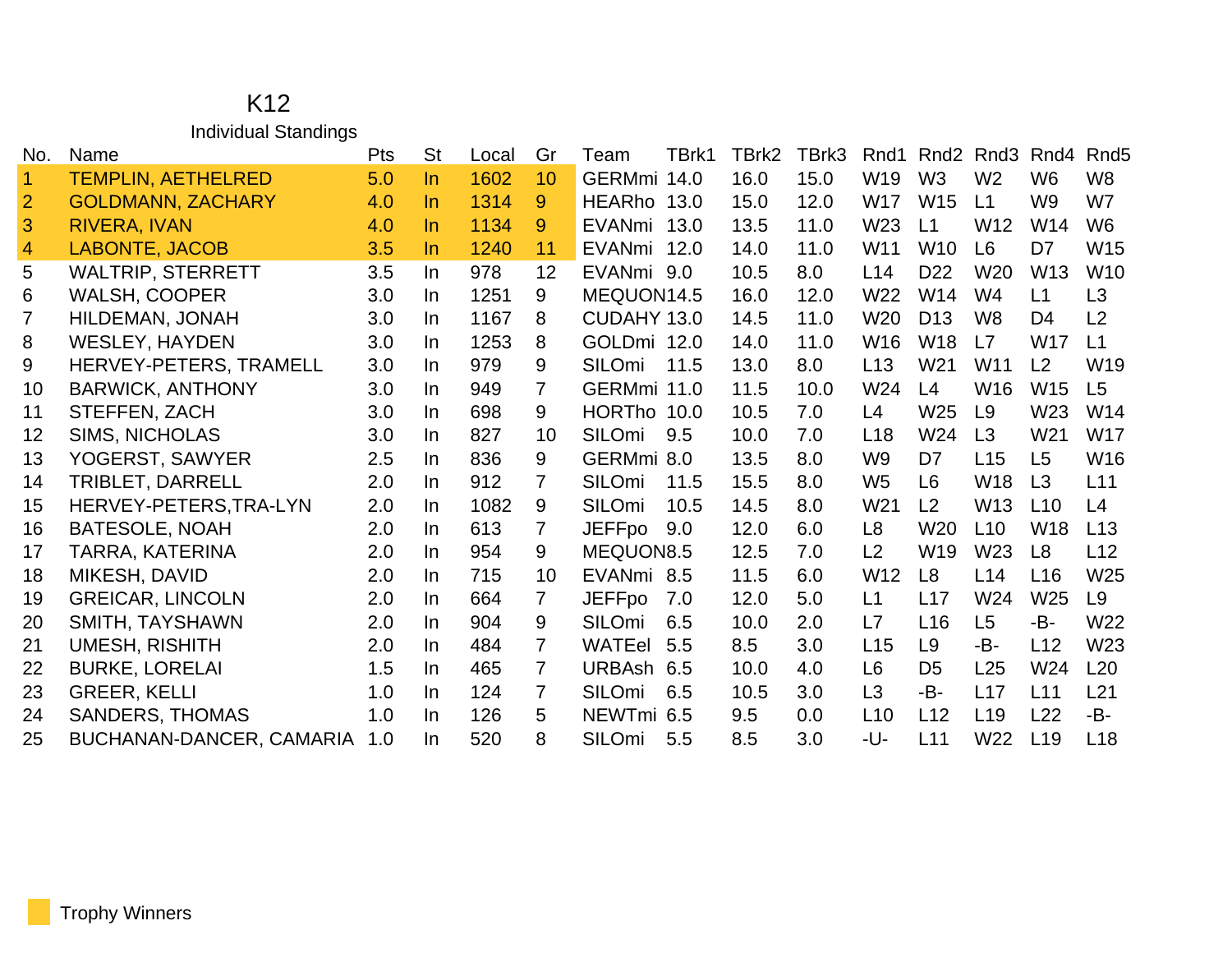#### K12 Individual Standings

| No.                  | Name                          | <b>Pts</b> | <b>St</b> | Local | Gr              | Team          | TBrk1 | TBrk2 | TBrk3 | Rnd1            | Rnd <sub>2</sub> | Rnd <sub>3</sub> | Rnd4            | Rnd <sub>5</sub> |
|----------------------|-------------------------------|------------|-----------|-------|-----------------|---------------|-------|-------|-------|-----------------|------------------|------------------|-----------------|------------------|
| $\blacktriangleleft$ | <b>TEMPLIN, AETHELRED</b>     | 5.0        | $\ln$     | 1602  | 10              | GERMmi 14.0   |       | 16.0  | 15.0  | W <sub>19</sub> | W <sub>3</sub>   | W <sub>2</sub>   | W <sub>6</sub>  | W <sub>8</sub>   |
| $\overline{2}$       | <b>GOLDMANN, ZACHARY</b>      | 4.0        | $\ln$     | 1314  | 9               | HEARho 13.0   |       | 15.0  | 12.0  | W <sub>17</sub> | <b>W15</b>       | L1               | W <sub>9</sub>  | W7               |
| 3                    | <b>RIVERA, IVAN</b>           | 4.0        | $\ln$     | 1134  | 9               | EVANmi 13.0   |       | 13.5  | 11.0  | W <sub>23</sub> | L1               | W <sub>12</sub>  | W14             | W <sub>6</sub>   |
| $\overline{4}$       | <b>LABONTE, JACOB</b>         | 3.5        | $\ln$     | 1240  | 11              | EVANmi 12.0   |       | 14.0  | 11.0  | W <sub>11</sub> | <b>W10</b>       | L <sub>6</sub>   | D7              | W <sub>15</sub>  |
| 5                    | <b>WALTRIP, STERRETT</b>      | 3.5        | In        | 978   | 12              | EVANmi 9.0    |       | 10.5  | 8.0   | L14             | D <sub>22</sub>  | W <sub>20</sub>  | W <sub>13</sub> | W <sub>10</sub>  |
| 6                    | <b>WALSH, COOPER</b>          | 3.0        | In        | 1251  | 9               | MEQUON14.5    |       | 16.0  | 12.0  | W <sub>22</sub> | W14              | W4               | L1              | L <sub>3</sub>   |
| 7                    | <b>HILDEMAN, JONAH</b>        | 3.0        | In        | 1167  | 8               | CUDAHY 13.0   |       | 14.5  | 11.0  | W <sub>20</sub> | D <sub>13</sub>  | W <sub>8</sub>   | D <sub>4</sub>  | L <sub>2</sub>   |
| 8                    | <b>WESLEY, HAYDEN</b>         | 3.0        | In        | 1253  | 8               | GOLDmi 12.0   |       | 14.0  | 11.0  | W <sub>16</sub> | W <sub>18</sub>  | L7               | <b>W17</b>      | L1               |
| 9                    | <b>HERVEY-PETERS, TRAMELL</b> | 3.0        | In        | 979   | 9               | <b>SILOmi</b> | 11.5  | 13.0  | 8.0   | L13             | W21              | W <sub>11</sub>  | L <sub>2</sub>  | W <sub>19</sub>  |
| 10                   | <b>BARWICK, ANTHONY</b>       | 3.0        | In        | 949   | $\overline{7}$  | GERMmi 11.0   |       | 11.5  | 10.0  | W24             | L4               | W <sub>16</sub>  | <b>W15</b>      | L5               |
| 11                   | STEFFEN, ZACH                 | 3.0        | In        | 698   | 9               | HORTho 10.0   |       | 10.5  | 7.0   | L4              | W25              | L9               | W <sub>23</sub> | W14              |
| 12                   | <b>SIMS, NICHOLAS</b>         | 3.0        | In        | 827   | 10 <sup>°</sup> | SILOmi        | 9.5   | 10.0  | 7.0   | L18             | W24              | L3               | W <sub>21</sub> | W17              |
| 13                   | YOGERST, SAWYER               | 2.5        | In        | 836   | 9               | GERMmi 8.0    |       | 13.5  | 8.0   | W <sub>9</sub>  | D7               | L15              | L <sub>5</sub>  | W16              |
| 14                   | TRIBLET, DARRELL              | 2.0        | In        | 912   | 7               | <b>SILOmi</b> | 11.5  | 15.5  | 8.0   | W <sub>5</sub>  | L <sub>6</sub>   | <b>W18</b>       | L3              | L11              |
| 15                   | HERVEY-PETERS, TRA-LYN        | 2.0        | In        | 1082  | 9               | SILOmi        | 10.5  | 14.5  | 8.0   | W <sub>21</sub> | L2               | W <sub>13</sub>  | L10             | L4               |
| 16                   | <b>BATESOLE, NOAH</b>         | 2.0        | In        | 613   | 7               | <b>JEFFpo</b> | 9.0   | 12.0  | 6.0   | L <sub>8</sub>  | W <sub>20</sub>  | L10              | W <sub>18</sub> | L13              |
| 17                   | TARRA, KATERINA               | 2.0        | In        | 954   | 9               | MEQUON8.5     |       | 12.5  | 7.0   | L2              | W19              | W23              | L8              | L12              |
| 18                   | MIKESH, DAVID                 | 2.0        | In        | 715   | 10              | EVANmi 8.5    |       | 11.5  | 6.0   | W <sub>12</sub> | L8               | L14              | L16             | W <sub>25</sub>  |
| 19                   | <b>GREICAR, LINCOLN</b>       | 2.0        | In        | 664   | $\overline{7}$  | <b>JEFFpo</b> | 7.0   | 12.0  | 5.0   | L1              | L17              | W24              | W <sub>25</sub> | L9               |
| 20                   | SMITH, TAYSHAWN               | 2.0        | In        | 904   | 9               | <b>SILOmi</b> | 6.5   | 10.0  | 2.0   | L7              | L16              | L <sub>5</sub>   | -B-             | W22              |
| 21                   | <b>UMESH, RISHITH</b>         | 2.0        | In        | 484   | $\mathbf{7}$    | WATEel        | 5.5   | 8.5   | 3.0   | L15             | L <sub>9</sub>   | -B-              | L12             | W <sub>23</sub>  |
| 22                   | <b>BURKE, LORELAI</b>         | 1.5        | In        | 465   | 7               | URBAsh 6.5    |       | 10.0  | 4.0   | L <sub>6</sub>  | D <sub>5</sub>   | L25              | W24             | L20              |
| 23                   | <b>GREER, KELLI</b>           | 1.0        | In        | 124   | 7               | SILOmi        | 6.5   | 10.5  | 3.0   | L3              | -В-              | L17              | L11             | L21              |
| 24                   | <b>SANDERS, THOMAS</b>        | 1.0        | In        | 126   | 5               | NEWTmi 6.5    |       | 9.5   | 0.0   | L10             | L12              | L <sub>19</sub>  | L22             | -B-              |
| 25                   | BUCHANAN-DANCER, CAMARIA      | 1.0        | In        | 520   | 8               | <b>SILOmi</b> | 5.5   | 8.5   | 3.0   | -U-             | L11              | W22              | L <sub>19</sub> | L18              |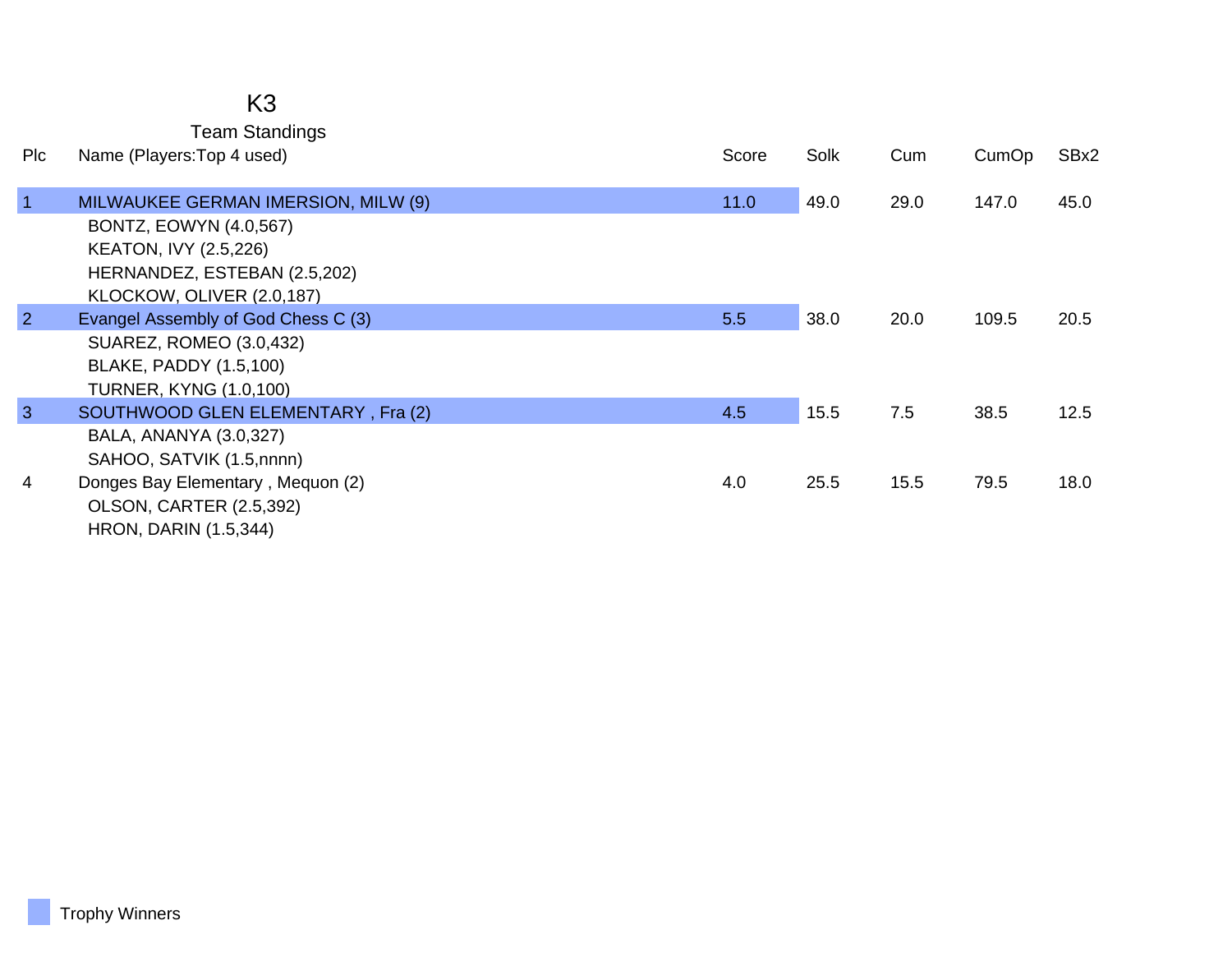## K3

Team Standings

| <b>PIC</b>     | Name (Players: Top 4 used)                                                                                                                                        | Score | Solk | Cum  | CumOp | SBx2 |
|----------------|-------------------------------------------------------------------------------------------------------------------------------------------------------------------|-------|------|------|-------|------|
| $\overline{1}$ | MILWAUKEE GERMAN IMERSION, MILW (9)<br><b>BONTZ, EOWYN (4.0,567)</b><br><b>KEATON, IVY (2.5,226)</b><br>HERNANDEZ, ESTEBAN (2.5,202)<br>KLOCKOW, OLIVER (2.0,187) | 11.0  | 49.0 | 29.0 | 147.0 | 45.0 |
| $\overline{2}$ | Evangel Assembly of God Chess C (3)<br>SUAREZ, ROMEO (3.0,432)<br><b>BLAKE, PADDY (1.5,100)</b><br><b>TURNER, KYNG (1.0,100)</b>                                  | 5.5   | 38.0 | 20.0 | 109.5 | 20.5 |
| $\mathbf{3}$   | SOUTHWOOD GLEN ELEMENTARY, Fra (2)<br>BALA, ANANYA (3.0,327)<br>SAHOO, SATVIK (1.5,nnnn)                                                                          | 4.5   | 15.5 | 7.5  | 38.5  | 12.5 |
| 4              | Donges Bay Elementary, Mequon (2)<br>OLSON, CARTER (2.5,392)<br><b>HRON, DARIN (1.5,344)</b>                                                                      | 4.0   | 25.5 | 15.5 | 79.5  | 18.0 |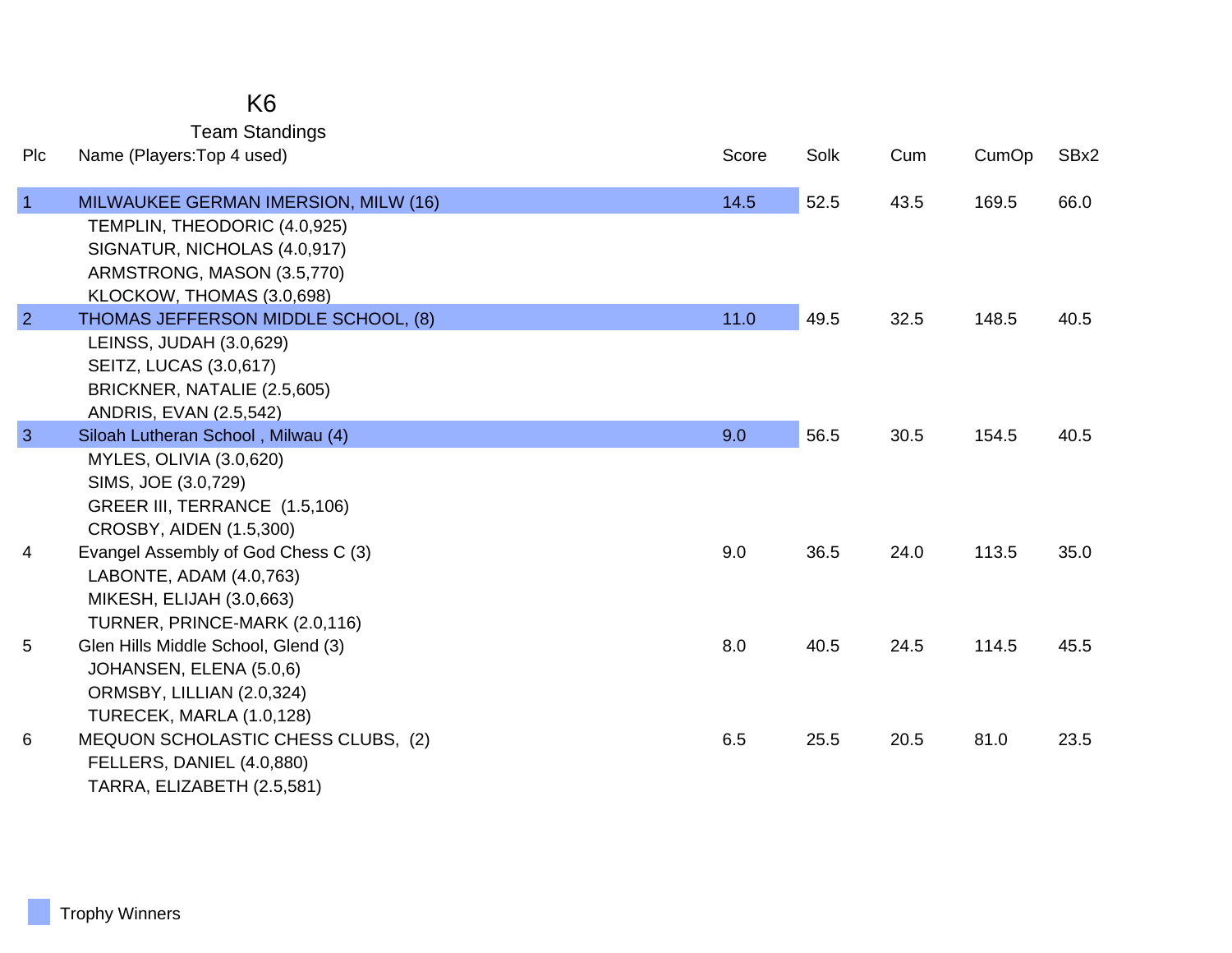### K6

Team Standings

| Plc            | Name (Players: Top 4 used)                                                                                                                                      | Score | Solk | Cum  | CumOp | SBx2 |
|----------------|-----------------------------------------------------------------------------------------------------------------------------------------------------------------|-------|------|------|-------|------|
| $\overline{1}$ | MILWAUKEE GERMAN IMERSION, MILW (16)<br>TEMPLIN, THEODORIC (4.0,925)<br>SIGNATUR, NICHOLAS (4.0,917)<br>ARMSTRONG, MASON (3.5,770)<br>KLOCKOW, THOMAS (3.0,698) | 14.5  | 52.5 | 43.5 | 169.5 | 66.0 |
| $\overline{2}$ | THOMAS JEFFERSON MIDDLE SCHOOL, (8)<br>LEINSS, JUDAH (3.0,629)<br><b>SEITZ, LUCAS (3.0,617)</b><br>BRICKNER, NATALIE (2.5,605)<br>ANDRIS, EVAN (2.5,542)        | 11.0  | 49.5 | 32.5 | 148.5 | 40.5 |
| $\overline{3}$ | Siloah Lutheran School, Milwau (4)<br>MYLES, OLIVIA (3.0,620)<br>SIMS, JOE (3.0,729)<br>GREER III, TERRANCE (1.5,106)<br>CROSBY, AIDEN (1.5,300)                | 9.0   | 56.5 | 30.5 | 154.5 | 40.5 |
| 4              | Evangel Assembly of God Chess C (3)<br>LABONTE, ADAM (4.0,763)<br>MIKESH, ELIJAH (3.0,663)<br>TURNER, PRINCE-MARK (2.0,116)                                     | 9.0   | 36.5 | 24.0 | 113.5 | 35.0 |
| 5              | Glen Hills Middle School, Glend (3)<br>JOHANSEN, ELENA (5.0,6)<br>ORMSBY, LILLIAN (2.0,324)<br>TURECEK, MARLA (1.0,128)                                         | 8.0   | 40.5 | 24.5 | 114.5 | 45.5 |
| 6              | MEQUON SCHOLASTIC CHESS CLUBS, (2)<br>FELLERS, DANIEL (4.0,880)<br>TARRA, ELIZABETH (2.5,581)                                                                   | 6.5   | 25.5 | 20.5 | 81.0  | 23.5 |